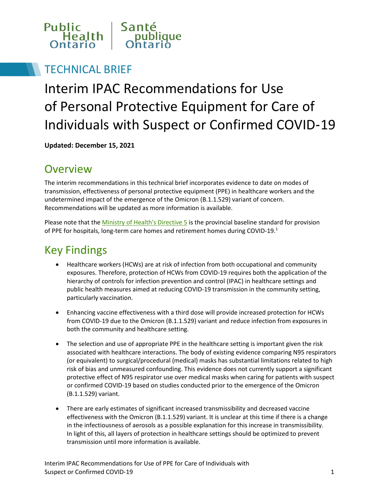

#### TECHNICAL BRIEF

# Interim IPAC Recommendations for Use of Personal Protective Equipment for Care of Individuals with Suspect or Confirmed COVID‑19

**Updated: December 15, 2021**

#### **Overview**

The interim recommendations in this technical brief incorporates evidence to date on modes of transmission, effectiveness of personal protective equipment (PPE) in healthcare workers and the undetermined impact of the emergence of the Omicron (B.1.1.529) variant of concern. Recommendations will be updated as more information is available.

Please note that the [Ministry of Health's Directive 5](http://www.health.gov.on.ca/en/pro/programs/publichealth/coronavirus/dir_mem_res.aspx) is the provincial baseline standard for provision of PPE for hospitals, long-term care homes and retirement homes during COVID-19.<sup>1</sup>

## Key Findings

- Healthcare workers (HCWs) are at risk of infection from both occupational and community exposures. Therefore, protection of HCWs from COVID-19 requires both the application of the hierarchy of controls for infection prevention and control (IPAC) in healthcare settings and public health measures aimed at reducing COVID-19 transmission in the community setting, particularly vaccination.
- Enhancing vaccine effectiveness with a third dose will provide increased protection for HCWs from COVID-19 due to the Omicron (B.1.1.529) variant and reduce infection from exposures in both the community and healthcare setting.
- The selection and use of appropriate PPE in the healthcare setting is important given the risk associated with healthcare interactions. The body of existing evidence comparing N95 respirators (or equivalent) to surgical/procedural (medical) masks has substantial limitations related to high risk of bias and unmeasured confounding. This evidence does not currently support a significant protective effect of N95 respirator use over medical masks when caring for patients with suspect or confirmed COVID-19 based on studies conducted prior to the emergence of the Omicron (B.1.1.529) variant.
- There are early estimates of significant increased transmissibility and decreased vaccine effectiveness with the Omicron (B.1.1.529) variant. It is unclear at this time if there is a change in the infectiousness of aerosols as a possible explanation for this increase in transmissibility. In light of this, all layers of protection in healthcare settings should be optimized to prevent transmission until more information is available.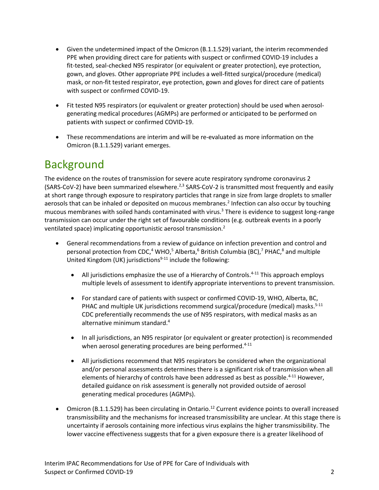- Given the undetermined impact of the Omicron (B.1.1.529) variant, the interim recommended PPE when providing direct care for patients with suspect or confirmed COVID-19 includes a fit-tested, seal-checked N95 respirator (or equivalent or greater protection), eye protection, gown, and gloves. Other appropriate PPE includes a well-fitted surgical/procedure (medical) mask, or non-fit tested respirator, eye protection, gown and gloves for direct care of patients with suspect or confirmed COVID-19.
- Fit tested N95 respirators (or equivalent or greater protection) should be used when aerosolgenerating medical procedures (AGMPs) are performed or anticipated to be performed on patients with suspect or confirmed COVID‑19.
- These recommendations are interim and will be re-evaluated as more information on the Omicron (B.1.1.529) variant emerges.

## Background

The evidence on the routes of transmission for severe acute respiratory syndrome coronavirus 2 (SARS-CoV-2) have been summarized elsewhere.<sup>2,3</sup> SARS-CoV-2 is transmitted most frequently and easily at short range through exposure to respiratory particles that range in size from large droplets to smaller aerosols that can be inhaled or deposited on mucous membranes.<sup>2</sup> Infection can also occur by touching mucous membranes with soiled hands contaminated with virus. $3$  There is evidence to suggest long-range transmission can occur under the right set of favourable conditions (e.g. outbreak events in a poorly ventilated space) implicating opportunistic aerosol transmission.<sup>2</sup>

- General recommendations from a review of guidance on infection prevention and control and personal protection from CDC,<sup>4</sup> WHO,<sup>5</sup> Alberta,<sup>6</sup> British Columbia (BC),<sup>7</sup> PHAC,<sup>8</sup> and multiple United Kingdom (UK) jurisdictions $9-11$  include the following:
	- All jurisdictions emphasize the use of a Hierarchy of Controls.<sup>4-11</sup> This approach employs multiple levels of assessment to identify appropriate interventions to prevent transmission.
	- For standard care of patients with suspect or confirmed COVID-19, WHO, Alberta, BC, PHAC and multiple UK jurisdictions recommend surgical/procedure (medical) masks.<sup>5-11</sup> CDC preferentially recommends the use of N95 respirators, with medical masks as an alternative minimum standard.<sup>4</sup>
	- In all jurisdictions, an N95 respirator (or equivalent or greater protection) is recommended when aerosol generating procedures are being performed.<sup>4-11</sup>
	- All jurisdictions recommend that N95 respirators be considered when the organizational and/or personal assessments determines there is a significant risk of transmission when all elements of hierarchy of controls have been addressed as best as possible.<sup>4-11</sup> However, detailed guidance on risk assessment is generally not provided outside of aerosol generating medical procedures (AGMPs).
- Omicron (B.1.1.529) has been circulating in Ontario.<sup>12</sup> Current evidence points to overall increased transmissibility and the mechanisms for increased transmissibility are unclear. At this stage there is uncertainty if aerosols containing more infectious virus explains the higher transmissibility. The lower vaccine effectiveness suggests that for a given exposure there is a greater likelihood of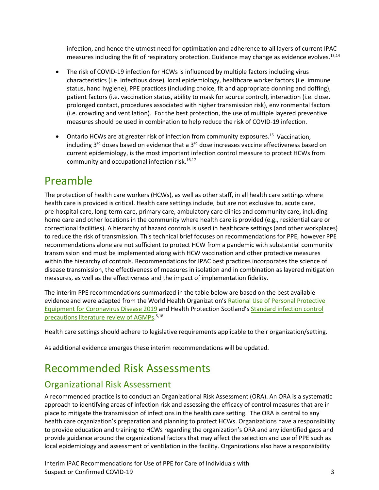infection, and hence the utmost need for optimization and adherence to all layers of current IPAC measures including the fit of respiratory protection. Guidance may change as evidence evolves.<sup>13,14</sup>

- The risk of COVID-19 infection for HCWs is influenced by multiple factors including virus characteristics (i.e. infectious dose), local epidemiology, healthcare worker factors (i.e. immune status, hand hygiene), PPE practices (including choice, fit and appropriate donning and doffing), patient factors (i.e. vaccination status, ability to mask for source control), interaction (i.e. close, prolonged contact, procedures associated with higher transmission risk), environmental factors (i.e. crowding and ventilation). For the best protection, the use of multiple layered preventive measures should be used in combination to help reduce the risk of COVID-19 infection.
- Ontario HCWs are at greater risk of infection from community exposures.<sup>15</sup> Vaccination, including  $3^{rd}$  doses based on evidence that a  $3^{rd}$  dose increases vaccine effectiveness based on current epidemiology, is the most important infection control measure to protect HCWs from community and occupational infection risk. $16,17$

## Preamble

The protection of health care workers (HCWs), as well as other staff, in all health care settings where health care is provided is critical. Health care settings include, but are not exclusive to, acute care, pre-hospital care, long-term care, primary care, ambulatory care clinics and community care, including home care and other locations in the community where health care is provided (e.g., residential care or correctional facilities). A hierarchy of hazard controls is used in healthcare settings (and other workplaces) to reduce the risk of transmission. This technical brief focuses on recommendations for PPE, however PPE recommendations alone are not sufficient to protect HCW from a pandemic with substantial community transmission and must be implemented along with HCW vaccination and other protective measures within the hierarchy of controls. Recommendations for IPAC best practices incorporates the science of disease transmission, the effectiveness of measures in isolation and in combination as layered mitigation measures, as well as the effectiveness and the impact of implementation fidelity.

The interim PPE recommendations summarized in the table below are based on the best available evidence and were adapted from the World Health Organization's [Rational Use of Personal Protective](https://www.who.int/publications-detail/rational-use-of-personal-protective-equipment-for-coronavirus-disease-(covid-19)-and-considerations-during-severe-shortages)  Equipment [for Coronavirus Disease 2019](https://www.who.int/publications-detail/rational-use-of-personal-protective-equipment-for-coronavirus-disease-(covid-19)-and-considerations-during-severe-shortages) and Health Protection Scotland'[s Standard infection control](https://hpspubsrepo.blob.core.windows.net/hps-website/nss/2893/documents/1_tbp-lr-agp.pdf)  [precautions literature review of AGMPs.](https://hpspubsrepo.blob.core.windows.net/hps-website/nss/2893/documents/1_tbp-lr-agp.pdf)<sup>5,18</sup>

Health care settings should adhere to legislative requirements applicable to their organization/setting.

As additional evidence emerges these interim recommendations will be updated.

## Recommended Risk Assessments

#### Organizational Risk Assessment

A recommended practice is to conduct an Organizational Risk Assessment (ORA). An ORA is a systematic approach to identifying areas of infection risk and assessing the efficacy of control measures that are in place to mitigate the transmission of infections in the health care setting. The ORA is central to any health care organization's preparation and planning to protect HCWs. Organizations have a responsibility to provide education and training to HCWs regarding the organization's ORA and any identified gaps and provide guidance around the organizational factors that may affect the selection and use of PPE such as local epidemiology and assessment of ventilation in the facility. Organizations also have a responsibility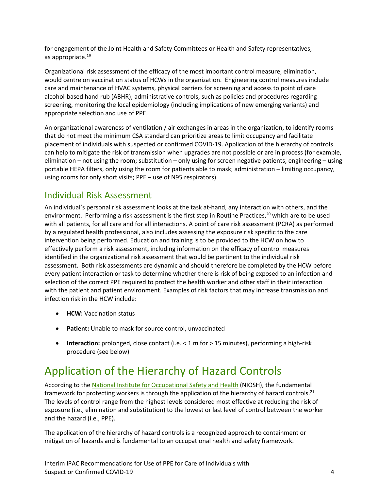for engagement of the Joint Health and Safety Committees or Health and Safety representatives, as appropriate.<sup>19</sup>

Organizational risk assessment of the efficacy of the most important control measure, elimination, would centre on vaccination status of HCWs in the organization. Engineering control measures include care and maintenance of HVAC systems, physical barriers for screening and access to point of care alcohol-based hand rub (ABHR); administrative controls, such as policies and procedures regarding screening, monitoring the local epidemiology (including implications of new emerging variants) and appropriate selection and use of PPE.

An organizational awareness of ventilation / air exchanges in areas in the organization, to identify rooms that do not meet the minimum CSA standard can prioritize areas to limit occupancy and facilitate placement of individuals with suspected or confirmed COVID-19. Application of the hierarchy of controls can help to mitigate the risk of transmission when upgrades are not possible or are in process (for example, elimination – not using the room; substitution – only using for screen negative patients; engineering – using portable HEPA filters, only using the room for patients able to mask; administration – limiting occupancy, using rooms for only short visits; PPE – use of N95 respirators).

#### Individual Risk Assessment

An individual's personal risk assessment looks at the task at-hand, any interaction with others, and the environment. Performing a risk assessment is the first step in Routine Practices,<sup>20</sup> which are to be used with all patients, for all care and for all interactions. A point of care risk assessment (PCRA) as performed by a regulated health professional, also includes assessing the exposure risk specific to the care intervention being performed. Education and training is to be provided to the HCW on how to effectively perform a risk assessment, including information on the efficacy of control measures identified in the organizational risk assessment that would be pertinent to the individual risk assessment. Both risk assessments are dynamic and should therefore be completed by the HCW before every patient interaction or task to determine whether there is risk of being exposed to an infection and selection of the correct PPE required to protect the health worker and other staff in their interaction with the patient and patient environment. Examples of risk factors that may increase transmission and infection risk in the HCW include:

- **HCW:** Vaccination status
- **Patient:** Unable to mask for source control, unvaccinated
- **Interaction:** prolonged, close contact (i.e. < 1 m for > 15 minutes), performing a high-risk procedure (see below)

## Application of the Hierarchy of Hazard Controls

According to th[e National Institute for Occupational Safety and Health](https://www.cdc.gov/niosh/topics/hierarchy/) (NIOSH), the fundamental framework for protecting workers is through the application of the hierarchy of hazard controls.<sup>21</sup> The levels of control range from the highest levels considered most effective at reducing the risk of exposure (i.e., elimination and substitution) to the lowest or last level of control between the worker and the hazard (i.e., PPE).

The application of the hierarchy of hazard controls is a recognized approach to containment or mitigation of hazards and is fundamental to an occupational health and safety framework.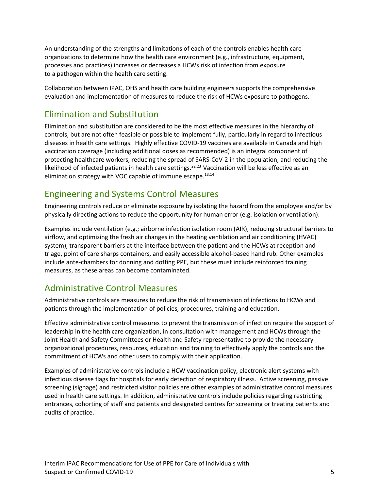An understanding of the strengths and limitations of each of the controls enables health care organizations to determine how the health care environment (e.g., infrastructure, equipment, processes and practices) increases or decreases a HCWs risk of infection from exposure to a pathogen within the health care setting.

Collaboration between IPAC, OHS and health care building engineers supports the comprehensive evaluation and implementation of measures to reduce the risk of HCWs exposure to pathogens.

#### Elimination and Substitution

Elimination and substitution are considered to be the most effective measures in the hierarchy of controls, but are not often feasible or possible to implement fully, particularly in regard to infectious diseases in health care settings. Highly effective COVID-19 vaccines are available in Canada and high vaccination coverage (including additional doses as recommended) is an integral component of protecting healthcare workers, reducing the spread of SARS-CoV-2 in the population, and reducing the likelihood of infected patients in health care settings.<sup>22,23</sup> Vaccination will be less effective as an elimination strategy with VOC capable of immune escape.<sup>13,14</sup>

#### Engineering and Systems Control Measures

Engineering controls reduce or eliminate exposure by isolating the hazard from the employee and/or by physically directing actions to reduce the opportunity for human error (e.g. isolation or ventilation).

Examples include ventilation (e.g.; airborne infection isolation room (AIR), reducing structural barriers to airflow, and optimizing the fresh air changes in the heating ventilation and air conditioning (HVAC) system), transparent barriers at the interface between the patient and the HCWs at reception and triage, point of care sharps containers, and easily accessible alcohol-based hand rub. Other examples include ante-chambers for donning and doffing PPE, but these must include reinforced training measures, as these areas can become contaminated.

#### Administrative Control Measures

Administrative controls are measures to reduce the risk of transmission of infections to HCWs and patients through the implementation of policies, procedures, training and education.

Effective administrative control measures to prevent the transmission of infection require the support of leadership in the health care organization, in consultation with management and HCWs through the Joint Health and Safety Committees or Health and Safety representative to provide the necessary organizational procedures, resources, education and training to effectively apply the controls and the commitment of HCWs and other users to comply with their application.

Examples of administrative controls include a HCW vaccination policy, electronic alert systems with infectious disease flags for hospitals for early detection of respiratory illness. Active screening, passive screening (signage) and restricted visitor policies are other examples of administrative control measures used in health care settings. In addition, administrative controls include policies regarding restricting entrances, cohorting of staff and patients and designated centres for screening or treating patients and audits of practice.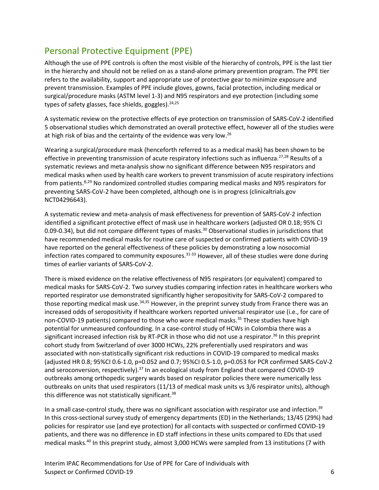#### Personal Protective Equipment (PPE)

Although the use of PPE controls is often the most visible of the hierarchy of controls, PPE is the last tier in the hierarchy and should not be relied on as a stand-alone primary prevention program. The PPE tier refers to the availability, support and appropriate use of protective gear to minimize exposure and prevent transmission. Examples of PPE include gloves, gowns, facial protection, including medical or surgical/procedure masks (ASTM level 1-3) and N95 respirators and eye protection (including some types of safety glasses, face shields, goggles).<sup>24,25</sup>

A systematic review on the protective effects of eye protection on transmission of SARS-CoV-2 identified 5 observational studies which demonstrated an overall protective effect, however all of the studies were at high risk of bias and the certainty of the evidence was very low.<sup>26</sup>

Wearing a surgical/procedure mask (henceforth referred to as a medical mask) has been shown to be effective in preventing transmission of acute respiratory infections such as influenza.<sup>27,28</sup> Results of a systematic reviews and meta-analysis show no significant difference between N95 respirators and medical masks when used by health care workers to prevent transmission of acute respiratory infections from patients.<sup>6,29</sup> No randomized controlled studies comparing medical masks and N95 respirators for preventing SARS-CoV-2 have been completed, although one is in progress (clinicaltrials.gov NCT04296643).

A systematic review and meta-analysis of mask effectiveness for prevention of SARS-CoV-2 infection identified a significant protective effect of mask use in healthcare workers (adjusted OR 0.18; 95% CI 0.09-0.34), but did not compare different types of masks. <sup>30</sup> Observational studies in jurisdictions that have recommended medical masks for routine care of suspected or confirmed patients with COVID-19 have reported on the general effectiveness of these policies by demonstrating a low nosocomial infection rates compared to community exposures.<sup>31-33</sup> However, all of these studies were done during times of earlier variants of SARS-CoV-2.

There is mixed evidence on the relative effectiveness of N95 respirators (or equivalent) compared to medical masks for SARS-CoV-2. Two survey studies comparing infection rates in healthcare workers who reported respirator use demonstrated significantly higher seropositivity for SARS-CoV-2 compared to those reporting medical mask use.<sup>34,35</sup> However, in the preprint survey study from France there was an increased odds of seropositivity if healthcare workers reported universal respirator use (i.e., for care of non-COVID-19 patients) compared to those who wore medical masks.<sup>35</sup> These studies have high potential for unmeasured confounding. In a case-control study of HCWs in Colombia there was a significant increased infection risk by RT-PCR in those who did not use a respirator.<sup>36</sup> In this preprint cohort study from Switzerland of over 3000 HCWs, 22% preferentially used respirators and was associated with non-statistically significant risk reductions in COVID-19 compared to medical masks (adjusted HR 0.8; 95%CI 0.6-1.0, p=0.052 and 0.7; 95%CI 0.5-1.0, p=0.053 for PCR confirmed SARS-CoV-2 and seroconversion, respectively).<sup>37</sup> In an ecological study from England that compared COVID-19 outbreaks among orthopedic surgery wards based on respirator policies there were numerically less outbreaks on units that used respirators (11/13 of medical mask units vs 3/6 respirator units), although this difference was not statistically significant.<sup>38</sup>

In a small case-control study, there was no significant association with respirator use and infection.<sup>39</sup> In this cross-sectional survey study of emergency departments (ED) in the Netherlands; 13/45 (29%) had policies for respirator use (and eye protection) for all contacts with suspected or confirmed COVID-19 patients, and there was no difference in ED staff infections in these units compared to EDs that used medical masks.<sup>40</sup> In this preprint study, almost 3,000 HCWs were sampled from 13 institutions (7 with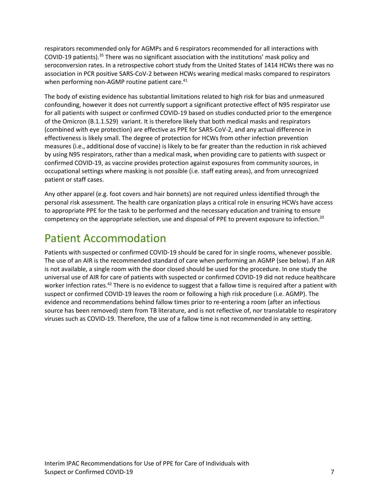respirators recommended only for AGMPs and 6 respirators recommended for all interactions with COVID-19 patients).35 There was no significant association with the institutions' mask policy and seroconversion rates. In a retrospective cohort study from the United States of 1414 HCWs there was no association in PCR positive SARS-CoV-2 between HCWs wearing medical masks compared to respirators when performing non-AGMP routine patient care.<sup>41</sup>

The body of existing evidence has substantial limitations related to high risk for bias and unmeasured confounding, however it does not currently support a significant protective effect of N95 respirator use for all patients with suspect or confirmed COVID-19 based on studies conducted prior to the emergence of the Omicron (B.1.1.529) variant. It is therefore likely that both medical masks and respirators (combined with eye protection) are effective as PPE for SARS-CoV-2, and any actual difference in effectiveness is likely small. The degree of protection for HCWs from other infection prevention measures (i.e., additional dose of vaccine) is likely to be far greater than the reduction in risk achieved by using N95 respirators, rather than a medical mask, when providing care to patients with suspect or confirmed COVID-19, as vaccine provides protection against exposures from community sources, in occupational settings where masking is not possible (i.e. staff eating areas), and from unrecognized patient or staff cases.

Any other apparel (e.g. foot covers and hair bonnets) are not required unless identified through the personal risk assessment. The health care organization plays a critical role in ensuring HCWs have access to appropriate PPE for the task to be performed and the necessary education and training to ensure competency on the appropriate selection, use and disposal of PPE to prevent exposure to infection.<sup>20</sup>

## Patient Accommodation

Patients with suspected or confirmed COVID‑19 should be cared for in single rooms, whenever possible. The use of an AIR is the recommended standard of care when performing an AGMP (see below). If an AIR is not available, a single room with the door closed should be used for the procedure. In one study the universal use of AIR for care of patients with suspected or confirmed COVID-19 did not reduce healthcare worker infection rates.<sup>42</sup> There is no evidence to suggest that a fallow time is required after a patient with suspect or confirmed COVID-19 leaves the room or following a high risk procedure (i.e. AGMP). The evidence and recommendations behind fallow times prior to re-entering a room (after an infectious source has been removed) stem from TB literature, and is not reflective of, nor translatable to respiratory viruses such as COVID-19. Therefore, the use of a fallow time is not recommended in any setting.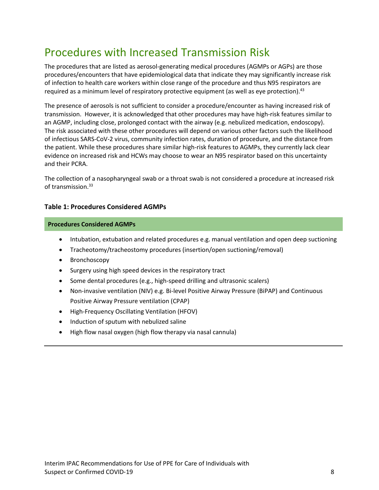## Procedures with Increased Transmission Risk

The procedures that are listed as aerosol-generating medical procedures (AGMPs or AGPs) are those procedures/encounters that have epidemiological data that indicate they may significantly increase risk of infection to health care workers within close range of the procedure and thus N95 respirators are required as a minimum level of respiratory protective equipment (as well as eye protection).<sup>43</sup>

The presence of aerosols is not sufficient to consider a procedure/encounter as having increased risk of transmission. However, it is acknowledged that other procedures may have high-risk features similar to an AGMP, including close, prolonged contact with the airway (e.g. nebulized medication, endoscopy). The risk associated with these other procedures will depend on various other factors such the likelihood of infectious SARS-CoV-2 virus, community infection rates, duration of procedure, and the distance from the patient. While these procedures share similar high-risk features to AGMPs, they currently lack clear evidence on increased risk and HCWs may choose to wear an N95 respirator based on this uncertainty and their PCRA.

The collection of a nasopharyngeal swab or a throat swab is not considered a procedure at increased risk of transmission. 33

#### **Table 1: Procedures Considered AGMPs**

#### **Procedures Considered AGMPs**

- Intubation, extubation and related procedures e.g. manual ventilation and open deep suctioning
- Tracheotomy/tracheostomy procedures (insertion/open suctioning/removal)
- Bronchoscopy
- Surgery using high speed devices in the respiratory tract
- Some dental procedures (e.g., high-speed drilling and ultrasonic scalers)
- Non-invasive ventilation (NIV) e.g. Bi-level Positive Airway Pressure (BiPAP) and Continuous Positive Airway Pressure ventilation (CPAP)
- High-Frequency Oscillating Ventilation (HFOV)
- Induction of sputum with nebulized saline
- High flow nasal oxygen (high flow therapy via nasal cannula)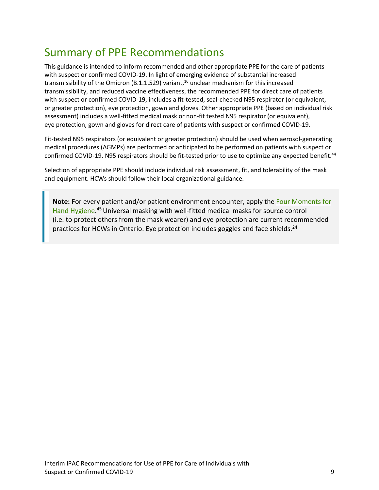## Summary of PPE Recommendations

This guidance is intended to inform recommended and other appropriate PPE for the care of patients with suspect or confirmed COVID-19. In light of emerging evidence of substantial increased transmissibility of the Omicron (B.1.1.529) variant,<sup>16</sup> unclear mechanism for this increased transmissibility, and reduced vaccine effectiveness, the recommended PPE for direct care of patients with suspect or confirmed COVID-19, includes a fit-tested, seal-checked N95 respirator (or equivalent, or greater protection), eye protection, gown and gloves. Other appropriate PPE (based on individual risk assessment) includes a well-fitted medical mask or non-fit tested N95 respirator (or equivalent), eye protection, gown and gloves for direct care of patients with suspect or confirmed COVID-19.

Fit-tested N95 respirators (or equivalent or greater protection) should be used when aerosol-generating medical procedures (AGMPs) are performed or anticipated to be performed on patients with suspect or confirmed COVID-19. N95 respirators should be fit-tested prior to use to optimize any expected benefit.<sup>44</sup>

Selection of appropriate PPE should include individual risk assessment, fit, and tolerability of the mask and equipment. HCWs should follow their local organizational guidance.

**Note:** For every patient and/or patient environment encounter, apply the [Four Moments for](https://www.publichealthontario.ca/-/media/documents/bp-hand-hygiene.pdf?la=en)  [Hand Hygiene.](https://www.publichealthontario.ca/-/media/documents/bp-hand-hygiene.pdf?la=en)<sup>45</sup> Universal masking with well-fitted medical masks for source control (i.e. to protect others from the mask wearer) and eye protection are current recommended practices for HCWs in Ontario. Eye protection includes goggles and face shields.<sup>24</sup>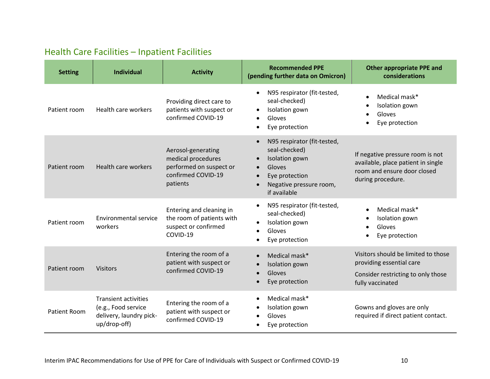#### Health Care Facilities – Inpatient Facilities

| <b>Setting</b>      | <b>Individual</b>                                                                             | <b>Activity</b>                                                                                       | <b>Recommended PPE</b><br>(pending further data on Omicron)                                                                                        | <b>Other appropriate PPE and</b><br>considerations                                                                         |
|---------------------|-----------------------------------------------------------------------------------------------|-------------------------------------------------------------------------------------------------------|----------------------------------------------------------------------------------------------------------------------------------------------------|----------------------------------------------------------------------------------------------------------------------------|
| Patient room        | Health care workers                                                                           | Providing direct care to<br>patients with suspect or<br>confirmed COVID-19                            | N95 respirator (fit-tested,<br>seal-checked)<br>Isolation gown<br>$\bullet$<br>Gloves<br>$\bullet$<br>Eye protection                               | Medical mask*<br>Isolation gown<br>Gloves<br>Eye protection                                                                |
| Patient room        | Health care workers                                                                           | Aerosol-generating<br>medical procedures<br>performed on suspect or<br>confirmed COVID-19<br>patients | N95 respirator (fit-tested,<br>seal-checked)<br>Isolation gown<br>Gloves<br>$\bullet$<br>Eye protection<br>Negative pressure room,<br>if available | If negative pressure room is not<br>available, place patient in single<br>room and ensure door closed<br>during procedure. |
| Patient room        | <b>Environmental service</b><br>workers                                                       | Entering and cleaning in<br>the room of patients with<br>suspect or confirmed<br>COVID-19             | N95 respirator (fit-tested,<br>seal-checked)<br>Isolation gown<br>Gloves<br>Eye protection                                                         | Medical mask*<br>Isolation gown<br>Gloves<br>Eye protection                                                                |
| Patient room        | <b>Visitors</b>                                                                               | Entering the room of a<br>patient with suspect or<br>confirmed COVID-19                               | Medical mask*<br>Isolation gown<br>Gloves<br>Eye protection                                                                                        | Visitors should be limited to those<br>providing essential care<br>Consider restricting to only those<br>fully vaccinated  |
| <b>Patient Room</b> | <b>Transient activities</b><br>(e.g., Food service<br>delivery, laundry pick-<br>up/drop-off) | Entering the room of a<br>patient with suspect or<br>confirmed COVID-19                               | Medical mask*<br>Isolation gown<br>Gloves<br>Eye protection                                                                                        | Gowns and gloves are only<br>required if direct patient contact.                                                           |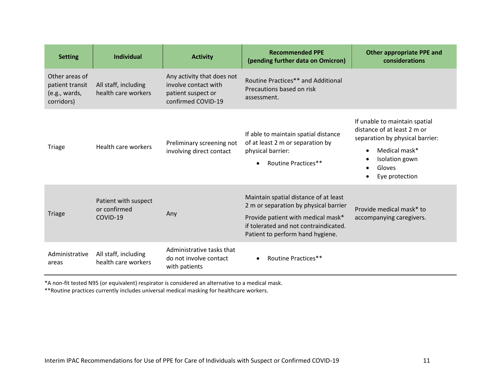| <b>Setting</b>                                                   | <b>Individual</b>                                | <b>Activity</b>                                                                                | <b>Recommended PPE</b><br>(pending further data on Omicron)                                                                                                                                       | <b>Other appropriate PPE and</b><br>considerations                                                                                                                                       |
|------------------------------------------------------------------|--------------------------------------------------|------------------------------------------------------------------------------------------------|---------------------------------------------------------------------------------------------------------------------------------------------------------------------------------------------------|------------------------------------------------------------------------------------------------------------------------------------------------------------------------------------------|
| Other areas of<br>patient transit<br>(e.g., wards,<br>corridors) | All staff, including<br>health care workers      | Any activity that does not<br>involve contact with<br>patient suspect or<br>confirmed COVID-19 | Routine Practices** and Additional<br>Precautions based on risk<br>assessment.                                                                                                                    |                                                                                                                                                                                          |
| Triage                                                           | Health care workers                              | Preliminary screening not<br>involving direct contact                                          | If able to maintain spatial distance<br>of at least 2 m or separation by<br>physical barrier:<br><b>Routine Practices**</b><br>$\bullet$                                                          | If unable to maintain spatial<br>distance of at least 2 m or<br>separation by physical barrier:<br>Medical mask*<br>$\bullet$<br>Isolation gown<br>Gloves<br>Eye protection<br>$\bullet$ |
| <b>Triage</b>                                                    | Patient with suspect<br>or confirmed<br>COVID-19 | Any                                                                                            | Maintain spatial distance of at least<br>2 m or separation by physical barrier<br>Provide patient with medical mask*<br>if tolerated and not contraindicated.<br>Patient to perform hand hygiene. | Provide medical mask* to<br>accompanying caregivers.                                                                                                                                     |
| Administrative<br>areas                                          | All staff, including<br>health care workers      | Administrative tasks that<br>do not involve contact<br>with patients                           | <b>Routine Practices**</b><br>$\bullet$                                                                                                                                                           |                                                                                                                                                                                          |

\*A non-fit tested N95 (or equivalent) respirator is considered an alternative to a medical mask.

\*\*Routine practices currently includes universal medical masking for healthcare workers.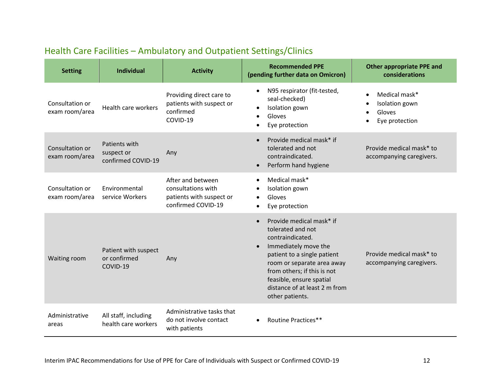| <b>Setting</b>                    | <b>Individual</b>                                 | <b>Activity</b>                                                                           | <b>Recommended PPE</b><br>(pending further data on Omicron)                                                                                                                                                                                                           | <b>Other appropriate PPE and</b><br>considerations          |
|-----------------------------------|---------------------------------------------------|-------------------------------------------------------------------------------------------|-----------------------------------------------------------------------------------------------------------------------------------------------------------------------------------------------------------------------------------------------------------------------|-------------------------------------------------------------|
| Consultation or<br>exam room/area | Health care workers                               | Providing direct care to<br>patients with suspect or<br>confirmed<br>COVID-19             | N95 respirator (fit-tested,<br>$\bullet$<br>seal-checked)<br>Isolation gown<br>$\bullet$<br>Gloves<br>$\bullet$<br>Eye protection                                                                                                                                     | Medical mask*<br>Isolation gown<br>Gloves<br>Eye protection |
| Consultation or<br>exam room/area | Patients with<br>suspect or<br>confirmed COVID-19 | Any                                                                                       | Provide medical mask* if<br>tolerated and not<br>contraindicated.<br>Perform hand hygiene<br>$\bullet$                                                                                                                                                                | Provide medical mask* to<br>accompanying caregivers.        |
| Consultation or<br>exam room/area | Environmental<br>service Workers                  | After and between<br>consultations with<br>patients with suspect or<br>confirmed COVID-19 | Medical mask*<br>$\bullet$<br>Isolation gown<br>Gloves<br>$\bullet$<br>Eye protection                                                                                                                                                                                 |                                                             |
| Waiting room                      | Patient with suspect<br>or confirmed<br>COVID-19  | Any                                                                                       | Provide medical mask* if<br>tolerated and not<br>contraindicated.<br>Immediately move the<br>patient to a single patient<br>room or separate area away<br>from others; if this is not<br>feasible, ensure spatial<br>distance of at least 2 m from<br>other patients. | Provide medical mask* to<br>accompanying caregivers.        |
| Administrative<br>areas           | All staff, including<br>health care workers       | Administrative tasks that<br>do not involve contact<br>with patients                      | Routine Practices**                                                                                                                                                                                                                                                   |                                                             |

#### Health Care Facilities – Ambulatory and Outpatient Settings/Clinics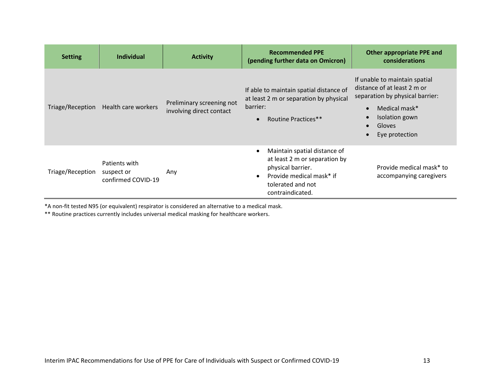| <b>Setting</b>   | Individual                                        | <b>Activity</b>                                       | <b>Recommended PPE</b><br>(pending further data on Omicron)                                                                                             | <b>Other appropriate PPE and</b><br>considerations                                                                                                                                                                 |
|------------------|---------------------------------------------------|-------------------------------------------------------|---------------------------------------------------------------------------------------------------------------------------------------------------------|--------------------------------------------------------------------------------------------------------------------------------------------------------------------------------------------------------------------|
|                  | Triage/Reception Health care workers              | Preliminary screening not<br>involving direct contact | If able to maintain spatial distance of<br>at least 2 m or separation by physical<br>barrier:<br>Routine Practices**<br>$\bullet$                       | If unable to maintain spatial<br>distance of at least 2 m or<br>separation by physical barrier:<br>Medical mask*<br>$\bullet$<br>Isolation gown<br>$\bullet$<br>Gloves<br>$\bullet$<br>Eye protection<br>$\bullet$ |
| Triage/Reception | Patients with<br>suspect or<br>confirmed COVID-19 | Any                                                   | Maintain spatial distance of<br>at least 2 m or separation by<br>physical barrier.<br>Provide medical mask* if<br>tolerated and not<br>contraindicated. | Provide medical mask* to<br>accompanying caregivers                                                                                                                                                                |

\*A non-fit tested N95 (or equivalent) respirator is considered an alternative to a medical mask.

\*\* Routine practices currently includes universal medical masking for healthcare workers.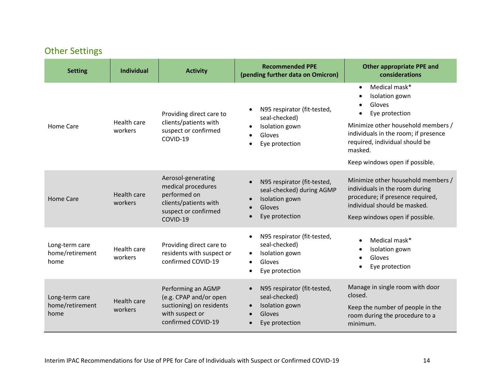#### Other Settings

| <b>Setting</b>                            | <b>Individual</b>             | <b>Activity</b>                                                                                                       | <b>Recommended PPE</b><br>(pending further data on Omicron)                                                                       | <b>Other appropriate PPE and</b><br>considerations                                                                                                                                                                                                 |
|-------------------------------------------|-------------------------------|-----------------------------------------------------------------------------------------------------------------------|-----------------------------------------------------------------------------------------------------------------------------------|----------------------------------------------------------------------------------------------------------------------------------------------------------------------------------------------------------------------------------------------------|
| <b>Home Care</b>                          | Health care<br>workers        | Providing direct care to<br>clients/patients with<br>suspect or confirmed<br>COVID-19                                 | N95 respirator (fit-tested,<br>$\bullet$<br>seal-checked)<br>Isolation gown<br>$\bullet$<br>Gloves<br>Eye protection<br>$\bullet$ | Medical mask*<br>$\bullet$<br>Isolation gown<br>$\bullet$<br>Gloves<br>Eye protection<br>Minimize other household members /<br>individuals in the room; if presence<br>required, individual should be<br>masked.<br>Keep windows open if possible. |
| Home Care                                 | Health care<br>workers        | Aerosol-generating<br>medical procedures<br>performed on<br>clients/patients with<br>suspect or confirmed<br>COVID-19 | N95 respirator (fit-tested,<br>$\bullet$<br>seal-checked) during AGMP<br>Isolation gown<br>$\bullet$<br>Gloves<br>Eye protection  | Minimize other household members /<br>individuals in the room during<br>procedure; if presence required,<br>individual should be masked.<br>Keep windows open if possible.                                                                         |
| Long-term care<br>home/retirement<br>home | Health care<br>workers        | Providing direct care to<br>residents with suspect or<br>confirmed COVID-19                                           | N95 respirator (fit-tested,<br>$\bullet$<br>seal-checked)<br>Isolation gown<br>Gloves<br>Eye protection<br>$\bullet$              | Medical mask*<br>$\bullet$<br>Isolation gown<br>$\bullet$<br>Gloves<br>Eye protection                                                                                                                                                              |
| Long-term care<br>home/retirement<br>home | <b>Health care</b><br>workers | Performing an AGMP<br>(e.g. CPAP and/or open<br>suctioning) on residents<br>with suspect or<br>confirmed COVID-19     | N95 respirator (fit-tested,<br>$\bullet$<br>seal-checked)<br>Isolation gown<br>$\bullet$<br>Gloves<br>$\bullet$<br>Eye protection | Manage in single room with door<br>closed.<br>Keep the number of people in the<br>room during the procedure to a<br>minimum.                                                                                                                       |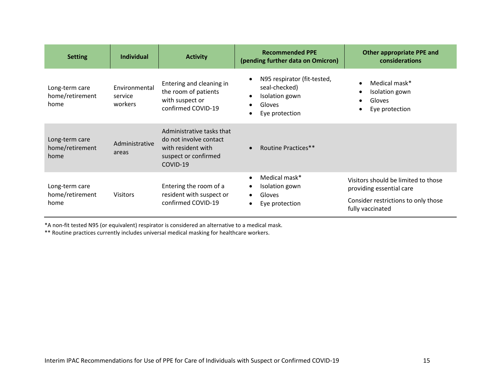| <b>Setting</b>                            | <b>Individual</b>                   | <b>Activity</b>                                                                                               | <b>Recommended PPE</b><br>(pending further data on Omicron)                                                                                           | <b>Other appropriate PPE and</b><br>considerations                                                                         |
|-------------------------------------------|-------------------------------------|---------------------------------------------------------------------------------------------------------------|-------------------------------------------------------------------------------------------------------------------------------------------------------|----------------------------------------------------------------------------------------------------------------------------|
| Long-term care<br>home/retirement<br>home | Environmental<br>service<br>workers | Entering and cleaning in<br>the room of patients<br>with suspect or<br>confirmed COVID-19                     | N95 respirator (fit-tested,<br>$\bullet$<br>seal-checked)<br>Isolation gown<br>$\bullet$<br><b>Gloves</b><br>$\bullet$<br>Eye protection<br>$\bullet$ | Medical mask*<br>$\bullet$<br>Isolation gown<br>٠<br>Gloves<br>$\bullet$<br>Eye protection<br>$\bullet$                    |
| Long-term care<br>home/retirement<br>home | Administrative<br>areas             | Administrative tasks that<br>do not involve contact<br>with resident with<br>suspect or confirmed<br>COVID-19 | <b>Routine Practices**</b><br>$\bullet$                                                                                                               |                                                                                                                            |
| Long-term care<br>home/retirement<br>home | <b>Visitors</b>                     | Entering the room of a<br>resident with suspect or<br>confirmed COVID-19                                      | Medical mask*<br>$\bullet$<br>Isolation gown<br>$\bullet$<br><b>Gloves</b><br>$\bullet$<br>Eye protection<br>$\bullet$                                | Visitors should be limited to those<br>providing essential care<br>Consider restrictions to only those<br>fully vaccinated |

\*A non-fit tested N95 (or equivalent) respirator is considered an alternative to a medical mask.

\*\* Routine practices currently includes universal medical masking for healthcare workers.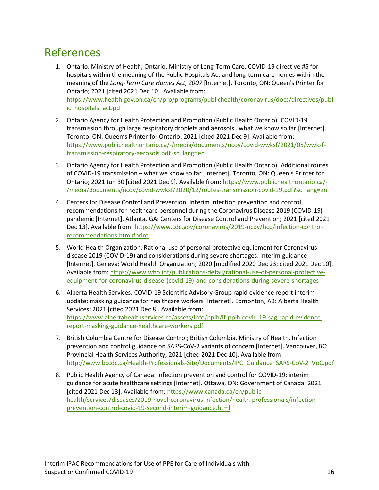#### References

- 1. Ontario. Ministry of Health; Ontario. Ministry of Long-Term Care. COVID-19 directive #5 for hospitals within the meaning of the Public Hospitals Act and long-term care homes within the meaning of the *Long-Term Care Homes Act, 2007* [Internet]. Toronto, ON: Queen's Printer for Ontario; 2021 [cited 2021 Dec 10]. Available from: [https://www.health.gov.on.ca/en/pro/programs/publichealth/coronavirus/docs/directives/publ](https://www.health.gov.on.ca/en/pro/programs/publichealth/coronavirus/docs/directives/public_hospitals_act.pdf) [ic\\_hospitals\\_act.pdf](https://www.health.gov.on.ca/en/pro/programs/publichealth/coronavirus/docs/directives/public_hospitals_act.pdf)
- 2. Ontario Agency for Health Protection and Promotion (Public Health Ontario). COVID-19 transmission through large respiratory droplets and aerosols…what we know so far [Internet]. Toronto, ON: Queen's Printer for Ontario; 2021 [cited 2021 Dec 9]. Available from: [https://www.publichealthontario.ca/-/media/documents/ncov/covid-wwksf/2021/05/wwksf](https://www.publichealthontario.ca/-/media/documents/ncov/covid-wwksf/2021/05/wwksf-transmission-respiratory-aerosols.pdf?sc_lang=en)[transmission-respiratory-aerosols.pdf?sc\\_lang=en](https://www.publichealthontario.ca/-/media/documents/ncov/covid-wwksf/2021/05/wwksf-transmission-respiratory-aerosols.pdf?sc_lang=en)
- 3. Ontario Agency for Health Protection and Promotion (Public Health Ontario). Additional routes of COVID-19 transmission – what we know so far [Internet]. Toronto, ON: Queen's Printer for Ontario; 2021 Jun 30 [cited 2021 Dec 9]. Available from: [https://www.publichealthontario.ca/-](https://www.publichealthontario.ca/-/media/documents/ncov/covid-wwksf/2020/12/routes-transmission-covid-19.pdf?sc_lang=en) [/media/documents/ncov/covid-wwksf/2020/12/routes-transmission-covid-19.pdf?sc\\_lang=en](https://www.publichealthontario.ca/-/media/documents/ncov/covid-wwksf/2020/12/routes-transmission-covid-19.pdf?sc_lang=en)
- 4. Centers for Disease Control and Prevention. Interim infection prevention and control recommendations for healthcare personnel during the Coronavirus Disease 2019 (COVID-19) pandemic [Internet]. Atlanta, GA: Centers for Disease Control and Prevention; 2021 [cited 2021 Dec 13]. Available from: [https://www.cdc.gov/coronavirus/2019-ncov/hcp/infection-control](https://www.cdc.gov/coronavirus/2019-ncov/hcp/infection-control-recommendations.html#print)[recommendations.html#print](https://www.cdc.gov/coronavirus/2019-ncov/hcp/infection-control-recommendations.html#print)
- 5. World Health Organization. Rational use of personal protective equipment for Coronavirus disease 2019 (COVID‑19) and considerations during severe shortages: interim guidance [Internet]. Geneva: World Health Organization; 2020 [modified 2020 Dec 23; cited 2021 Dec 10]. Available from: [https://www.who.int/publications-detail/rational-use-of-personal-protective](https://www.who.int/publications-detail/rational-use-of-personal-protective-equipment-for-coronavirus-disease-(covid-19)-and-considerations-during-severe-shortages)[equipment-for-coronavirus-disease-\(covid-19\)-and-considerations-during-severe-shortages](https://www.who.int/publications-detail/rational-use-of-personal-protective-equipment-for-coronavirus-disease-(covid-19)-and-considerations-during-severe-shortages)
- 6. Alberta Health Services. COVID-19 Scientific Advisory Group rapid evidence report interim update: masking guidance for healthcare workers [Internet]. Edmonton, AB: Alberta Health Services; 2021 [cited 2021 Dec 8]. Available from: [https://www.albertahealthservices.ca/assets/info/ppih/if-ppih-covid-19-sag-rapid-evidence](https://www.albertahealthservices.ca/assets/info/ppih/if-ppih-covid-19-sag-rapid-evidence-report-masking-guidance-healthcare-workers.pdf)[report-masking-guidance-healthcare-workers.pdf](https://www.albertahealthservices.ca/assets/info/ppih/if-ppih-covid-19-sag-rapid-evidence-report-masking-guidance-healthcare-workers.pdf)
- 7. British Columbia Centre for Disease Control; British Columbia. Ministry of Health. Infection prevention and control guidance on SARS-CoV-2 variants of concern [Internet]. Vancouver, BC: Provincial Health Services Authority; 2021 [cited 2021 Dec 10]. Available from: [http://www.bccdc.ca/Health-Professionals-Site/Documents/IPC\\_Guidance\\_SARS-CoV-2\\_VoC.pdf](http://www.bccdc.ca/Health-Professionals-Site/Documents/IPC_Guidance_SARS-CoV-2_VoC.pdf)
- 8. Public Health Agency of Canada. Infection prevention and control for COVID-19: interim guidance for acute healthcare settings [Internet]. Ottawa, ON: Government of Canada; 2021 [cited 2021 Dec 13]. Available from: [https://www.canada.ca/en/public](https://www.canada.ca/en/public-health/services/diseases/2019-novel-coronavirus-infection/health-professionals/infection-prevention-control-covid-19-second-interim-guidance.html)[health/services/diseases/2019-novel-coronavirus-infection/health-professionals/infection](https://www.canada.ca/en/public-health/services/diseases/2019-novel-coronavirus-infection/health-professionals/infection-prevention-control-covid-19-second-interim-guidance.html)[prevention-control-covid-19-second-interim-guidance.html](https://www.canada.ca/en/public-health/services/diseases/2019-novel-coronavirus-infection/health-professionals/infection-prevention-control-covid-19-second-interim-guidance.html)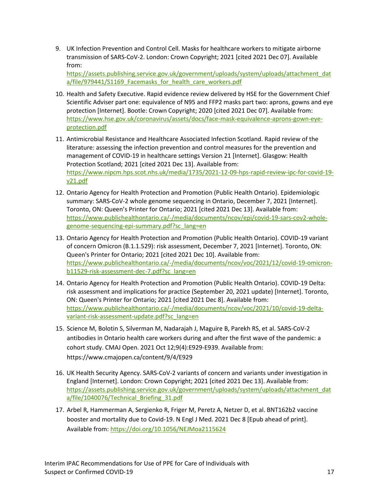9. UK Infection Prevention and Control Cell. Masks for healthcare workers to mitigate airborne transmission of SARS-CoV-2. London: Crown Copyright; 2021 [cited 2021 Dec 07]. Available from:

[https://assets.publishing.service.gov.uk/government/uploads/system/uploads/attachment\\_dat](https://assets.publishing.service.gov.uk/government/uploads/system/uploads/attachment_data/file/979441/S1169_Facemasks_for_health_care_workers.pdf) a/file/979441/S1169 Facemasks for health care workers.pdf

- 10. Health and Safety Executive. Rapid evidence review delivered by HSE for the Government Chief Scientific Adviser part one: equivalence of N95 and FFP2 masks part two: aprons, gowns and eye protection [Internet]. Bootle: Crown Copyright; 2020 [cited 2021 Dec 07]. Available from: [https://www.hse.gov.uk/coronavirus/assets/docs/face-mask-equivalence-aprons-gown-eye](https://www.hse.gov.uk/coronavirus/assets/docs/face-mask-equivalence-aprons-gown-eye-protection.pdf)[protection.pdf](https://www.hse.gov.uk/coronavirus/assets/docs/face-mask-equivalence-aprons-gown-eye-protection.pdf)
- 11. Antimicrobial Resistance and Healthcare Associated Infection Scotland. Rapid review of the literature: assessing the infection prevention and control measures for the prevention and management of COVID-19 in healthcare settings Version 21 [Internet]. Glasgow: Health Protection Scotland; 2021 [cited 2021 Dec 13]. Available from: [https://www.nipcm.hps.scot.nhs.uk/media/1735/2021-12-09-hps-rapid-review-ipc-for-covid-19](https://www.nipcm.hps.scot.nhs.uk/media/1735/2021-12-09-hps-rapid-review-ipc-for-covid-19-v21.pdf) [v21.pdf](https://www.nipcm.hps.scot.nhs.uk/media/1735/2021-12-09-hps-rapid-review-ipc-for-covid-19-v21.pdf)
- 12. Ontario Agency for Health Protection and Promotion (Public Health Ontario). Epidemiologic summary: SARS-CoV-2 whole genome sequencing in Ontario, December 7, 2021 [Internet]. Toronto, ON: Queen's Printer for Ontario; 2021 [cited 2021 Dec 13]. Available from: [https://www.publichealthontario.ca/-/media/documents/ncov/epi/covid-19-sars-cov2-whole](https://www.publichealthontario.ca/-/media/documents/ncov/epi/covid-19-sars-cov2-whole-genome-sequencing-epi-summary.pdf?sc_lang=en)[genome-sequencing-epi-summary.pdf?sc\\_lang=en](https://www.publichealthontario.ca/-/media/documents/ncov/epi/covid-19-sars-cov2-whole-genome-sequencing-epi-summary.pdf?sc_lang=en)
- 13. Ontario Agency for Health Protection and Promotion (Public Health Ontario). COVID-19 variant of concern Omicron (B.1.1.529): risk assessment, December 7, 2021 [Internet]. Toronto, ON: Queen's Printer for Ontario; 2021 [cited 2021 Dec 10]. Available from: [https://www.publichealthontario.ca/-/media/documents/ncov/voc/2021/12/covid-19-omicron](https://www.publichealthontario.ca/-/media/documents/ncov/voc/2021/12/covid-19-omicron-b11529-risk-assessment-dec-7.pdf?sc_lang=en)[b11529-risk-assessment-dec-7.pdf?sc\\_lang=en](https://www.publichealthontario.ca/-/media/documents/ncov/voc/2021/12/covid-19-omicron-b11529-risk-assessment-dec-7.pdf?sc_lang=en)
- 14. Ontario Agency for Health Protection and Promotion (Public Health Ontario). COVID-19 Delta: risk assessment and implications for practice (September 20, 2021 update) [Internet]. Toronto, ON: Queen's Printer for Ontario; 2021 [cited 2021 Dec 8]. Available from: [https://www.publichealthontario.ca/-/media/documents/ncov/voc/2021/10/covid-19-delta](https://www.publichealthontario.ca/-/media/documents/ncov/voc/2021/10/covid-19-delta-variant-risk-assessment-update.pdf?sc_lang=en)[variant-risk-assessment-update.pdf?sc\\_lang=en](https://www.publichealthontario.ca/-/media/documents/ncov/voc/2021/10/covid-19-delta-variant-risk-assessment-update.pdf?sc_lang=en)
- 15. Science M, Bolotin S, Silverman M, Nadarajah J, Maguire B, Parekh RS, et al. SARS-CoV-2 antibodies in Ontario health care workers during and after the first wave of the pandemic: a cohort study. CMAJ Open. 2021 Oct 12;9(4):E929-E939. Available from: https://www.cmajopen.ca/content/9/4/E929
- 16. UK Health Security Agency. SARS-CoV-2 variants of concern and variants under investigation in England [Internet]. London: Crown Copyright; 2021 [cited 2021 Dec 13]. Available from: [https://assets.publishing.service.gov.uk/government/uploads/system/uploads/attachment\\_dat](https://assets.publishing.service.gov.uk/government/uploads/system/uploads/attachment_data/file/1040076/Technical_Briefing_31.pdf) [a/file/1040076/Technical\\_Briefing\\_31.pdf](https://assets.publishing.service.gov.uk/government/uploads/system/uploads/attachment_data/file/1040076/Technical_Briefing_31.pdf)
- 17. Arbel R, Hammerman A, Sergienko R, Friger M, Peretz A, Netzer D, et al. BNT162b2 vaccine booster and mortality due to Covid-19. N Engl J Med. 2021 Dec 8 [Epub ahead of print]. Available from:<https://doi.org/10.1056/NEJMoa2115624>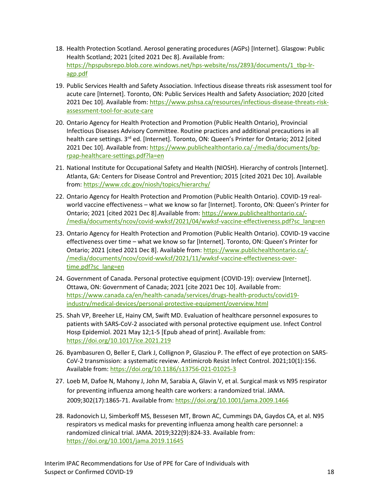- 18. Health Protection Scotland. Aerosol generating procedures (AGPs) [Internet]. Glasgow: Public Health Scotland; 2021 [cited 2021 Dec 8]. Available from: [https://hpspubsrepo.blob.core.windows.net/hps-website/nss/2893/documents/1\\_tbp-lr](https://hpspubsrepo.blob.core.windows.net/hps-website/nss/2893/documents/1_tbp-lr-agp.pdf)[agp.pdf](https://hpspubsrepo.blob.core.windows.net/hps-website/nss/2893/documents/1_tbp-lr-agp.pdf)
- 19. Public Services Health and Safety Association. Infectious disease threats risk assessment tool for acute care [Internet]. Toronto, ON: Public Services Health and Safety Association; 2020 [cited 2021 Dec 10]. Available from: [https://www.pshsa.ca/resources/infectious-disease-threats-risk](https://www.pshsa.ca/resources/infectious-disease-threats-risk-assessment-tool-for-acute-care)[assessment-tool-for-acute-care](https://www.pshsa.ca/resources/infectious-disease-threats-risk-assessment-tool-for-acute-care)
- 20. Ontario Agency for Health Protection and Promotion (Public Health Ontario), Provincial Infectious Diseases Advisory Committee. Routine practices and additional precautions in all health care settings. 3<sup>rd</sup> ed. [Internet]. Toronto, ON: Queen's Printer for Ontario; 2012 [cited 2021 Dec 10]. Available from: [https://www.publichealthontario.ca/-/media/documents/bp](https://www.publichealthontario.ca/-/media/documents/bp-rpap-healthcare-settings.pdf?la=en)[rpap-healthcare-settings.pdf?la=en](https://www.publichealthontario.ca/-/media/documents/bp-rpap-healthcare-settings.pdf?la=en)
- 21. National Institute for Occupational Safety and Health (NIOSH). Hierarchy of controls [Internet]. Atlanta, GA: Centers for Disease Control and Prevention; 2015 [cited 2021 Dec 10]. Available from:<https://www.cdc.gov/niosh/topics/hierarchy/>
- 22. Ontario Agency for Health Protection and Promotion (Public Health Ontario). COVID-19 realworld vaccine effectiveness – what we know so far [Internet]. Toronto, ON: Queen's Printer for Ontario; 2021 [cited 2021 Dec 8].Available from: [https://www.publichealthontario.ca/-](https://www.publichealthontario.ca/-/media/documents/ncov/covid-wwksf/2021/04/wwksf-vaccine-effectiveness.pdf?sc_lang=en) [/media/documents/ncov/covid-wwksf/2021/04/wwksf-vaccine-effectiveness.pdf?sc\\_lang=en](https://www.publichealthontario.ca/-/media/documents/ncov/covid-wwksf/2021/04/wwksf-vaccine-effectiveness.pdf?sc_lang=en)
- 23. Ontario Agency for Health Protection and Promotion (Public Health Ontario). COVID-19 vaccine effectiveness over time – what we know so far [Internet]. Toronto, ON: Queen's Printer for Ontario; 2021 [cited 2021 Dec 8]. Available from: [https://www.publichealthontario.ca/-](https://www.publichealthontario.ca/-/media/documents/ncov/covid-wwksf/2021/11/wwksf-vaccine-effectiveness-over-time.pdf?sc_lang=en) [/media/documents/ncov/covid-wwksf/2021/11/wwksf-vaccine-effectiveness-over](https://www.publichealthontario.ca/-/media/documents/ncov/covid-wwksf/2021/11/wwksf-vaccine-effectiveness-over-time.pdf?sc_lang=en)[time.pdf?sc\\_lang=en](https://www.publichealthontario.ca/-/media/documents/ncov/covid-wwksf/2021/11/wwksf-vaccine-effectiveness-over-time.pdf?sc_lang=en)
- 24. Government of Canada. Personal protective equipment (COVID-19): overview [Internet]. Ottawa, ON: Government of Canada; 2021 [cite 2021 Dec 10]. Available from: [https://www.canada.ca/en/health-canada/services/drugs-health-products/covid19](https://www.canada.ca/en/health-canada/services/drugs-health-products/covid19-industry/medical-devices/personal-protective-equipment/overview.html) [industry/medical-devices/personal-protective-equipment/overview.html](https://www.canada.ca/en/health-canada/services/drugs-health-products/covid19-industry/medical-devices/personal-protective-equipment/overview.html)
- 25. Shah VP, Breeher LE, Hainy CM, Swift MD. Evaluation of healthcare personnel exposures to patients with SARS-CoV-2 associated with personal protective equipment use. Infect Control Hosp Epidemiol. 2021 May 12;1-5 [Epub ahead of print]. Available from: <https://doi.org/10.1017/ice.2021.219>
- 26. Byambasuren O, Beller E, Clark J, Collignon P, Glasziou P. The effect of eye protection on SARS-CoV-2 transmission: a systematic review. Antimicrob Resist Infect Control. 2021;10(1):156. Available from:<https://doi.org/10.1186/s13756-021-01025-3>
- 27. Loeb M, Dafoe N, Mahony J, John M, Sarabia A, Glavin V, et al. Surgical mask vs N95 respirator for preventing influenza among health care workers: a randomized trial. JAMA. 2009;302(17):1865-71. Available from: <https://doi.org/10.1001/jama.2009.1466>
- 28. Radonovich LJ, Simberkoff MS, Bessesen MT, Brown AC, Cummings DA, Gaydos CA, et al. N95 respirators vs medical masks for preventing influenza among health care personnel: a randomized clinical trial. JAMA. 2019;322(9):824-33. Available from: <https://doi.org/10.1001/jama.2019.11645>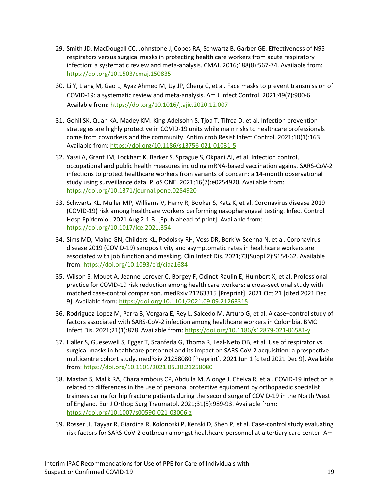- 29. Smith JD, MacDougall CC, Johnstone J, Copes RA, Schwartz B, Garber GE. Effectiveness of N95 respirators versus surgical masks in protecting health care workers from acute respiratory infection: a systematic review and meta-analysis. CMAJ. 2016;188(8):567-74. Available from: <https://doi.org/10.1503/cmaj.150835>
- 30. Li Y, Liang M, Gao L, Ayaz Ahmed M, Uy JP, Cheng C, et al. Face masks to prevent transmission of COVID-19: a systematic review and meta-analysis. Am J Infect Control. 2021;49(7):900-6. Available from:<https://doi.org/10.1016/j.ajic.2020.12.007>
- 31. Gohil SK, Quan KA, Madey KM, King-Adelsohn S, Tjoa T, Tifrea D, et al. Infection prevention strategies are highly protective in COVID-19 units while main risks to healthcare professionals come from coworkers and the community. Antimicrob Resist Infect Control. 2021;10(1):163. Available from:<https://doi.org/10.1186/s13756-021-01031-5>
- 32. Yassi A, Grant JM, Lockhart K, Barker S, Sprague S, Okpani AI, et al. Infection control, occupational and public health measures including mRNA-based vaccination against SARS-CoV-2 infections to protect healthcare workers from variants of concern: a 14-month observational study using surveillance data. PLoS ONE. 2021;16(7):e0254920. Available from: <https://doi.org/10.1371/journal.pone.0254920>
- 33. Schwartz KL, Muller MP, Williams V, Harry R, Booker S, Katz K, et al. Coronavirus disease 2019 (COVID-19) risk among healthcare workers performing nasopharyngeal testing. Infect Control Hosp Epidemiol. 2021 Aug 2:1-3. [Epub ahead of print]. Available from: <https://doi.org/10.1017/ice.2021.354>
- 34. Sims MD, Maine GN, Childers KL, Podolsky RH, Voss DR, Berkiw-Scenna N, et al. Coronavirus disease 2019 (COVID-19) seropositivity and asymptomatic rates in healthcare workers are associated with job function and masking. Clin Infect Dis. 2021;73(Suppl 2):S154-62. Available from:<https://doi.org/10.1093/cid/ciaa1684>
- 35. Wilson S, Mouet A, Jeanne-Leroyer C, Borgey F, Odinet-Raulin E, Humbert X, et al. Professional practice for COVID-19 risk reduction among health care workers: a cross-sectional study with matched case-control comparison. medRxiv 21263315 [Preprint]. 2021 Oct 21 [cited 2021 Dec 9]. Available from:<https://doi.org/10.1101/2021.09.09.21263315>
- 36. Rodriguez-Lopez M, Parra B, Vergara E, Rey L, Salcedo M, Arturo G, et al. A case–control study of factors associated with SARS-CoV-2 infection among healthcare workers in Colombia. BMC Infect Dis. 2021;21(1):878. Available from[: https://doi.org/10.1186/s12879-021-06581-y](https://doi.org/10.1186/s12879-021-06581-y)
- 37. Haller S, Guesewell S, Egger T, Scanferla G, Thoma R, Leal-Neto OB, et al. Use of respirator vs. surgical masks in healthcare personnel and its impact on SARS-CoV-2 acquisition: a prospective multicentre cohort study. medRxiv 21258080 [Preprint]. 2021 Jun 1 [cited 2021 Dec 9]. Available from:<https://doi.org/10.1101/2021.05.30.21258080>
- 38. Mastan S, Malik RA, Charalambous CP, Abdulla M, Alonge J, Chelva R, et al. COVID-19 infection is related to differences in the use of personal protective equipment by orthopaedic specialist trainees caring for hip fracture patients during the second surge of COVID-19 in the North West of England. Eur J Orthop Surg Traumatol. 2021;31(5):989-93. Available from: <https://doi.org/10.1007/s00590-021-03006-z>
- 39. Rosser JI, Tayyar R, Giardina R, Kolonoski P, Kenski D, Shen P, et al. Case-control study evaluating risk factors for SARS-CoV-2 outbreak amongst healthcare personnel at a tertiary care center. Am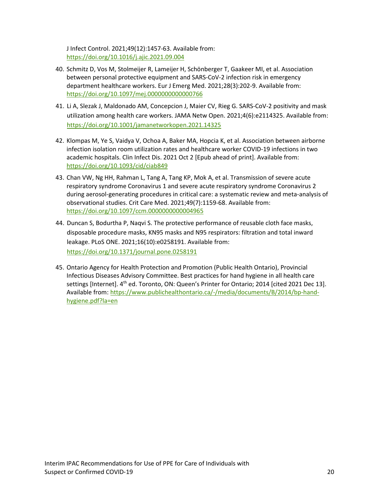J Infect Control. 2021;49(12):1457-63. Available from: <https://doi.org/10.1016/j.ajic.2021.09.004>

- 40. Schmitz D, Vos M, Stolmeijer R, Lameijer H, Schönberger T, Gaakeer MI, et al. Association between personal protective equipment and SARS-CoV-2 infection risk in emergency department healthcare workers. Eur J Emerg Med. 2021;28(3):202-9. Available from: <https://doi.org/10.1097/mej.0000000000000766>
- 41. Li A, Slezak J, Maldonado AM, Concepcion J, Maier CV, Rieg G. SARS-CoV-2 positivity and mask utilization among health care workers. JAMA Netw Open. 2021;4(6):e2114325. Available from: <https://doi.org/10.1001/jamanetworkopen.2021.14325>
- 42. Klompas M, Ye S, Vaidya V, Ochoa A, Baker MA, Hopcia K, et al. Association between airborne infection isolation room utilization rates and healthcare worker COVID-19 infections in two academic hospitals. Clin Infect Dis. 2021 Oct 2 [Epub ahead of print]. Available from: <https://doi.org/10.1093/cid/ciab849>
- 43. Chan VW, Ng HH, Rahman L, Tang A, Tang KP, Mok A, et al. Transmission of severe acute respiratory syndrome Coronavirus 1 and severe acute respiratory syndrome Coronavirus 2 during aerosol-generating procedures in critical care: a systematic review and meta-analysis of observational studies. Crit Care Med. 2021;49(7):1159-68. Available from: <https://doi.org/10.1097/ccm.0000000000004965>
- 44. Duncan S, Bodurtha P, Naqvi S. The protective performance of reusable cloth face masks, disposable procedure masks, KN95 masks and N95 respirators: filtration and total inward leakage. PLoS ONE. 2021;16(10):e0258191. Available from: <https://doi.org/10.1371/journal.pone.0258191>
- 45. Ontario Agency for Health Protection and Promotion (Public Health Ontario), Provincial Infectious Diseases Advisory Committee. Best practices for hand hygiene in all health care settings [Internet]. 4<sup>th</sup> ed. Toronto, ON: Queen's Printer for Ontario; 2014 [cited 2021 Dec 13]. Available from: [https://www.publichealthontario.ca/-/media/documents/B/2014/bp-hand](https://www.publichealthontario.ca/-/media/documents/B/2014/bp-hand-hygiene.pdf?la=en)[hygiene.pdf?la=en](https://www.publichealthontario.ca/-/media/documents/B/2014/bp-hand-hygiene.pdf?la=en)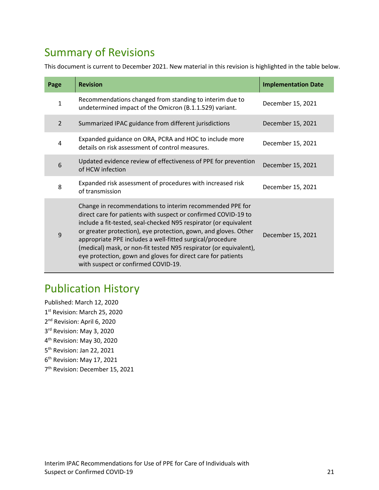## Summary of Revisions

This document is current to December 2021. New material in this revision is highlighted in the table below.

| Page           | <b>Revision</b>                                                                                                                                                                                                                                                                                                                                                                                                                                                                                            | <b>Implementation Date</b> |
|----------------|------------------------------------------------------------------------------------------------------------------------------------------------------------------------------------------------------------------------------------------------------------------------------------------------------------------------------------------------------------------------------------------------------------------------------------------------------------------------------------------------------------|----------------------------|
| $\mathbf{1}$   | Recommendations changed from standing to interim due to<br>undetermined impact of the Omicron (B.1.1.529) variant.                                                                                                                                                                                                                                                                                                                                                                                         | December 15, 2021          |
| $\overline{2}$ | Summarized IPAC guidance from different jurisdictions                                                                                                                                                                                                                                                                                                                                                                                                                                                      | December 15, 2021          |
| 4              | Expanded guidance on ORA, PCRA and HOC to include more<br>details on risk assessment of control measures.                                                                                                                                                                                                                                                                                                                                                                                                  | December 15, 2021          |
| 6              | Updated evidence review of effectiveness of PPE for prevention<br>of HCW infection                                                                                                                                                                                                                                                                                                                                                                                                                         | December 15, 2021          |
| 8              | Expanded risk assessment of procedures with increased risk<br>of transmission                                                                                                                                                                                                                                                                                                                                                                                                                              | December 15, 2021          |
| 9              | Change in recommendations to interim recommended PPE for<br>direct care for patients with suspect or confirmed COVID-19 to<br>include a fit-tested, seal-checked N95 respirator (or equivalent<br>or greater protection), eye protection, gown, and gloves. Other<br>appropriate PPE includes a well-fitted surgical/procedure<br>(medical) mask, or non-fit tested N95 respirator (or equivalent),<br>eye protection, gown and gloves for direct care for patients<br>with suspect or confirmed COVID-19. | December 15, 2021          |

#### Publication History

Published: March 12, 2020 1st Revision: March 25, 2020 2<sup>nd</sup> Revision: April 6, 2020 3<sup>rd</sup> Revision: May 3, 2020 4th Revision: May 30, 2020 5th Revision: Jan 22, 2021 6th Revision: May 17, 2021 7th Revision: December 15, 2021